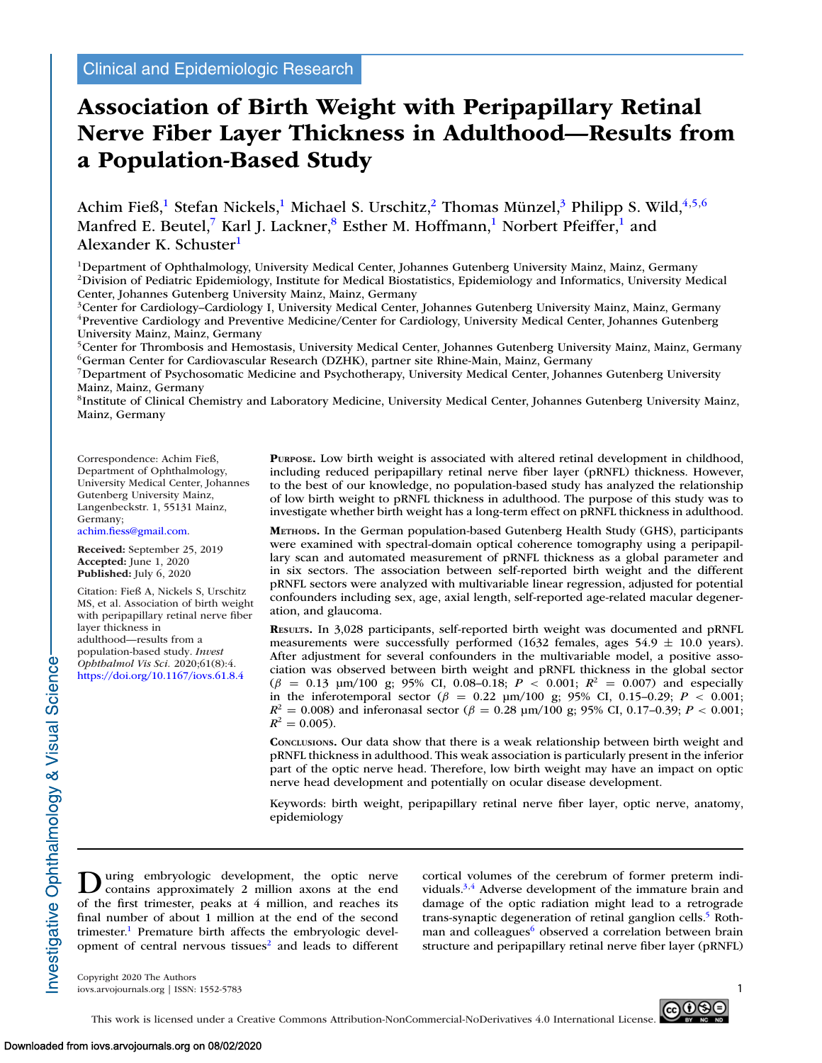# **Association of Birth Weight with Peripapillary Retinal Nerve Fiber Layer Thickness in Adulthood—Results from a Population-Based Study**

Achim Fieß,<sup>1</sup> Stefan Nickels,<sup>1</sup> Michael S. Urschitz,<sup>2</sup> Thomas Münzel,<sup>3</sup> Philipp S. Wild,<sup>4,5,6</sup> Manfred E. Beutel,<sup>7</sup> Karl J. Lackner,<sup>8</sup> Esther M. Hoffmann,<sup>1</sup> Norbert Pfeiffer,<sup>1</sup> and Alexander K. Schuster<sup>1</sup>

1Department of Ophthalmology, University Medical Center, Johannes Gutenberg University Mainz, Mainz, Germany 2Division of Pediatric Epidemiology, Institute for Medical Biostatistics, Epidemiology and Informatics, University Medical Center, Johannes Gutenberg University Mainz, Mainz, Germany

3Center for Cardiology–Cardiology I, University Medical Center, Johannes Gutenberg University Mainz, Mainz, Germany 4Preventive Cardiology and Preventive Medicine/Center for Cardiology, University Medical Center, Johannes Gutenberg University Mainz, Mainz, Germany

<sup>5</sup>Center for Thrombosis and Hemostasis, University Medical Center, Johannes Gutenberg University Mainz, Mainz, Germany 6German Center for Cardiovascular Research (DZHK), partner site Rhine-Main, Mainz, Germany

7Department of Psychosomatic Medicine and Psychotherapy, University Medical Center, Johannes Gutenberg University Mainz, Mainz, Germany

8Institute of Clinical Chemistry and Laboratory Medicine, University Medical Center, Johannes Gutenberg University Mainz, Mainz, Germany

Correspondence: Achim Fieß, Department of Ophthalmology, University Medical Center, Johannes Gutenberg University Mainz, Langenbeckstr. 1, 55131 Mainz, Germany;

[achim.fiess@gmail.com.](mailto:achim.fiess@gmail.com)

**Received:** September 25, 2019 **Accepted:** June 1, 2020 **Published:** July 6, 2020

Citation: Fieß A, Nickels S, Urschitz MS, et al. Association of birth weight with peripapillary retinal nerve fiber layer thickness in adulthood—results from a population-based study. *Invest Ophthalmol Vis Sci.* 2020;61(8):4. <https://doi.org/10.1167/iovs.61.8.4>

**PURPOSE.** Low birth weight is associated with altered retinal development in childhood, including reduced peripapillary retinal nerve fiber layer (pRNFL) thickness. However, to the best of our knowledge, no population-based study has analyzed the relationship of low birth weight to pRNFL thickness in adulthood. The purpose of this study was to investigate whether birth weight has a long-term effect on pRNFL thickness in adulthood.

**METHODS.** In the German population-based Gutenberg Health Study (GHS), participants were examined with spectral-domain optical coherence tomography using a peripapillary scan and automated measurement of pRNFL thickness as a global parameter and in six sectors. The association between self-reported birth weight and the different pRNFL sectors were analyzed with multivariable linear regression, adjusted for potential confounders including sex, age, axial length, self-reported age-related macular degeneration, and glaucoma.

**RESULTS.** In 3,028 participants, self-reported birth weight was documented and pRNFL measurements were successfully performed  $(1632 \text{ females}, \text{ages } 54.9 \pm 10.0 \text{ years}).$ After adjustment for several confounders in the multivariable model, a positive association was observed between birth weight and pRNFL thickness in the global sector  $(\beta = 0.13 \text{ µm}/100 \text{ g}; 95\% \text{ CI}, 0.08-0.18; P < 0.001; R^2 = 0.007)$  and especially in the inferotemporal sector ( $\beta$  = 0.22 μm/100 g; 95% CI, 0.15–0.29; *P* < 0.001;  $R^2 = 0.008$ ) and inferonasal sector ( $\beta = 0.28$  μm/100 g; 95% CI, 0.17–0.39;  $P < 0.001$ ;  $R^2 = 0.005$ .

**CONCLUSIONS.** Our data show that there is a weak relationship between birth weight and pRNFL thickness in adulthood. This weak association is particularly present in the inferior part of the optic nerve head. Therefore, low birth weight may have an impact on optic nerve head development and potentially on ocular disease development.

Keywords: birth weight, peripapillary retinal nerve fiber layer, optic nerve, anatomy, epidemiology

During embryologic development, the optic nerver contains approximately 2 million axons at the end of the first trimester, peaks at 4 million, and reaches its final number of about 1 million at the end of the second trimester.<sup>1</sup> Premature birth affects the embryologic development of central nervous tissues<sup>2</sup> and leads to different cortical volumes of the cerebrum of former preterm individuals. $3,4$  Adverse development of the immature brain and damage of the optic radiation might lead to a retrograde trans-synaptic degeneration of retinal ganglion cells.<sup>5</sup> Rothman and colleagues<sup>6</sup> observed a correlation between brain structure and peripapillary retinal nerve fiber layer (pRNFL)

Copyright 2020 The Authors iovs.arvojournals.org | ISSN: 1552-5783 1



Investigative Ophthalmology & Visual Science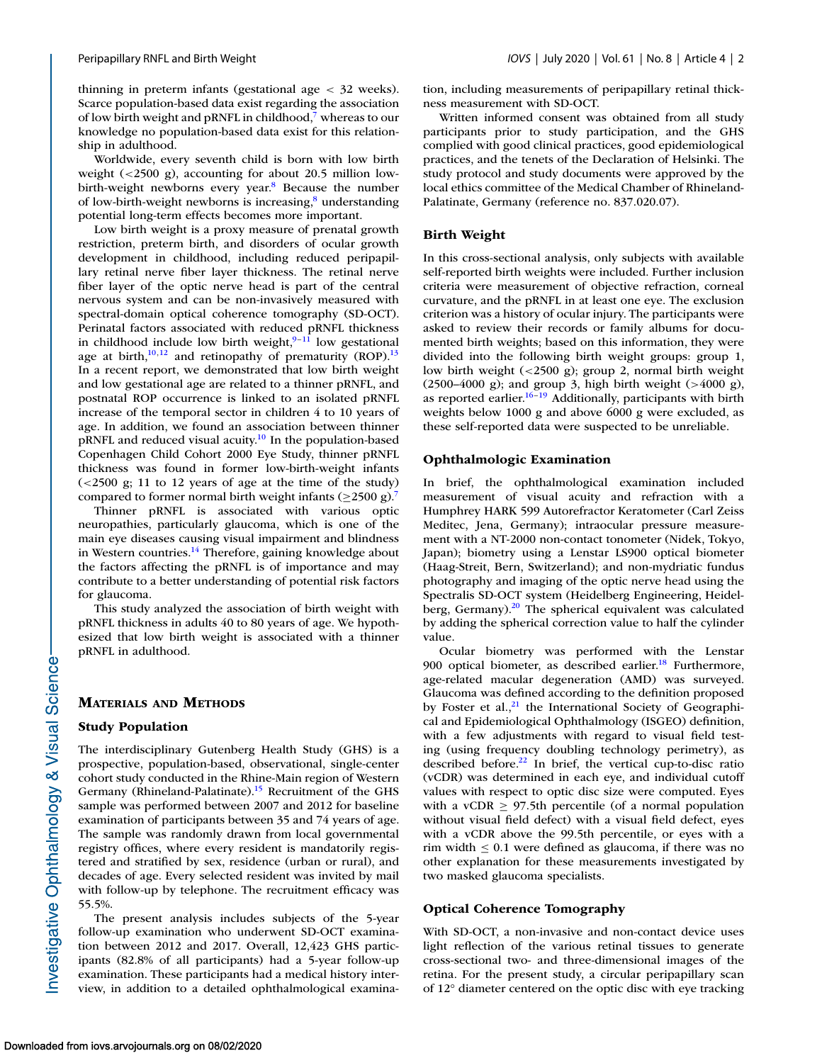thinning in preterm infants (gestational age < 32 weeks). Scarce population-based data exist regarding the association of low birth weight and pRNFL in childhood,<sup>7</sup> whereas to our knowledge no population-based data exist for this relationship in adulthood.

Worldwide, every seventh child is born with low birth weight  $\left( \langle 2500 \rangle \right)$  accounting for about 20.5 million lowbirth-weight newborns every year.<sup>8</sup> Because the number of low-birth-weight newborns is increasing, $\frac{8}{3}$  understanding potential long-term effects becomes more important.

Low birth weight is a proxy measure of prenatal growth restriction, preterm birth, and disorders of ocular growth development in childhood, including reduced peripapillary retinal nerve fiber layer thickness. The retinal nerve fiber layer of the optic nerve head is part of the central nervous system and can be non-invasively measured with spectral-domain optical coherence tomography (SD-OCT). Perinatal factors associated with reduced pRNFL thickness in childhood include low birth weight, $9-11$  $9-11$  low gestational age at birth, $10,12$  $10,12$  and retinopathy of prematurity (ROP).<sup>13</sup> In a recent report, we demonstrated that low birth weight and low gestational age are related to a thinner pRNFL, and postnatal ROP occurrence is linked to an isolated pRNFL increase of the temporal sector in children 4 to 10 years of age. In addition, we found an association between thinner pRNFL and reduced visual acuity[.10](#page-6-0) In the population-based Copenhagen Child Cohort 2000 Eye Study, thinner pRNFL thickness was found in former low-birth-weight infants  $\left($  <2500 g; 11 to 12 years of age at the time of the study) compared to former normal birth weight infants ( $\geq$ 2500 g).<sup>7</sup>

Thinner pRNFL is associated with various optic neuropathies, particularly glaucoma, which is one of the main eye diseases causing visual impairment and blindness in Western countries.<sup>14</sup> Therefore, gaining knowledge about the factors affecting the pRNFL is of importance and may contribute to a better understanding of potential risk factors for glaucoma.

This study analyzed the association of birth weight with pRNFL thickness in adults 40 to 80 years of age. We hypothesized that low birth weight is associated with a thinner pRNFL in adulthood.

# **MATERIALS AND METHODS**

# **Study Population**

The interdisciplinary Gutenberg Health Study (GHS) is a prospective, population-based, observational, single-center cohort study conducted in the Rhine-Main region of Western Germany (Rhineland-Palatinate).<sup>15</sup> Recruitment of the GHS sample was performed between 2007 and 2012 for baseline examination of participants between 35 and 74 years of age. The sample was randomly drawn from local governmental registry offices, where every resident is mandatorily registered and stratified by sex, residence (urban or rural), and decades of age. Every selected resident was invited by mail with follow-up by telephone. The recruitment efficacy was 55.5%.

The present analysis includes subjects of the 5-year follow-up examination who underwent SD-OCT examination between 2012 and 2017. Overall, 12,423 GHS participants (82.8% of all participants) had a 5-year follow-up examination. These participants had a medical history interview, in addition to a detailed ophthalmological examina-

tion, including measurements of peripapillary retinal thickness measurement with SD-OCT.

Written informed consent was obtained from all study participants prior to study participation, and the GHS complied with good clinical practices, good epidemiological practices, and the tenets of the Declaration of Helsinki. The study protocol and study documents were approved by the local ethics committee of the Medical Chamber of Rhineland-Palatinate, Germany (reference no. 837.020.07).

#### **Birth Weight**

In this cross-sectional analysis, only subjects with available self-reported birth weights were included. Further inclusion criteria were measurement of objective refraction, corneal curvature, and the pRNFL in at least one eye. The exclusion criterion was a history of ocular injury. The participants were asked to review their records or family albums for documented birth weights; based on this information, they were divided into the following birth weight groups: group 1, low birth weight (<2500 g); group 2, normal birth weight (2500–4000 g); and group 3, high birth weight (>4000 g), as reported earlier.<sup>16-19</sup> Additionally, participants with birth weights below 1000 g and above 6000 g were excluded, as these self-reported data were suspected to be unreliable.

#### **Ophthalmologic Examination**

In brief, the ophthalmological examination included measurement of visual acuity and refraction with a Humphrey HARK 599 Autorefractor Keratometer (Carl Zeiss Meditec, Jena, Germany); intraocular pressure measurement with a NT-2000 non-contact tonometer (Nidek, Tokyo, Japan); biometry using a Lenstar LS900 optical biometer (Haag-Streit, Bern, Switzerland); and non-mydriatic fundus photography and imaging of the optic nerve head using the Spectralis SD-OCT system (Heidelberg Engineering, Heidelberg, Germany). $20$  The spherical equivalent was calculated by adding the spherical correction value to half the cylinder value.

Ocular biometry was performed with the Lenstar 900 optical biometer, as described earlier. $18$  Furthermore, age-related macular degeneration (AMD) was surveyed. Glaucoma was defined according to the definition proposed by Foster et al.,<sup>21</sup> the International Society of Geographical and Epidemiological Ophthalmology (ISGEO) definition, with a few adjustments with regard to visual field testing (using frequency doubling technology perimetry), as described before. $22$  In brief, the vertical cup-to-disc ratio (vCDR) was determined in each eye, and individual cutoff values with respect to optic disc size were computed. Eyes with a vCDR  $\geq$  97.5th percentile (of a normal population without visual field defect) with a visual field defect, eyes with a vCDR above the 99.5th percentile, or eyes with a rim width  $\leq 0.1$  were defined as glaucoma, if there was no other explanation for these measurements investigated by two masked glaucoma specialists.

#### **Optical Coherence Tomography**

With SD-OCT, a non-invasive and non-contact device uses light reflection of the various retinal tissues to generate cross-sectional two- and three-dimensional images of the retina. For the present study, a circular peripapillary scan of 12° diameter centered on the optic disc with eye tracking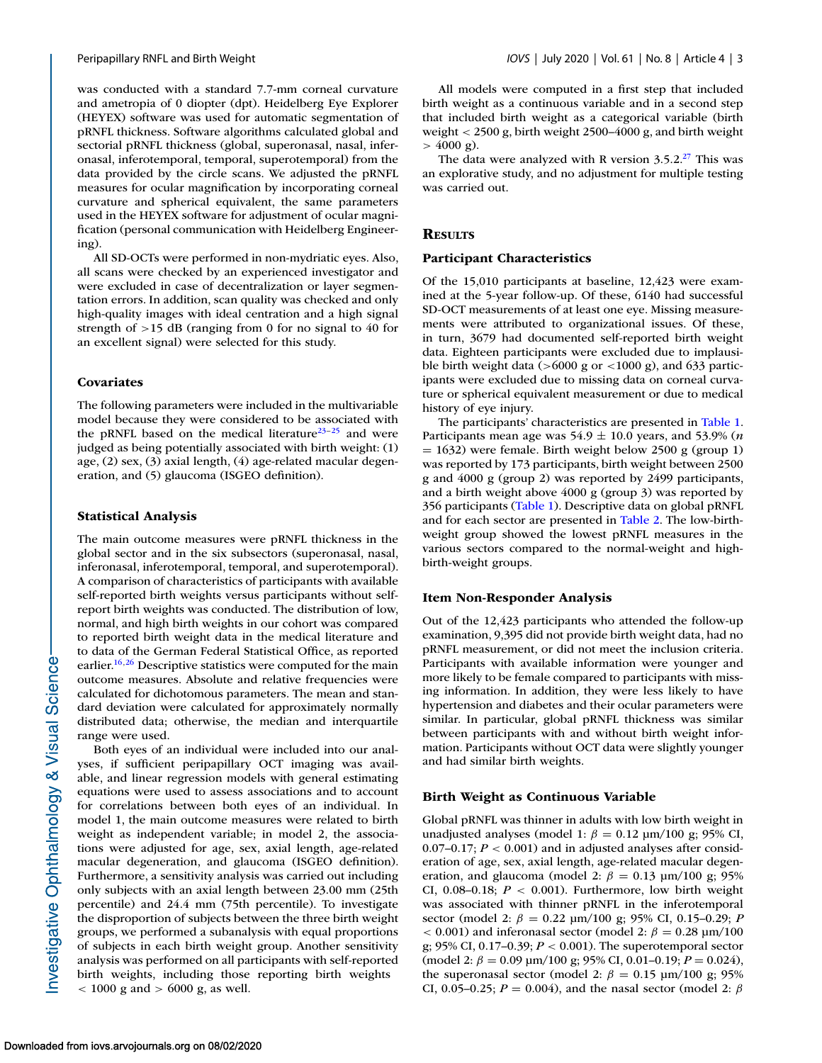was conducted with a standard 7.7-mm corneal curvature and ametropia of 0 diopter (dpt). Heidelberg Eye Explorer (HEYEX) software was used for automatic segmentation of pRNFL thickness. Software algorithms calculated global and sectorial pRNFL thickness (global, superonasal, nasal, inferonasal, inferotemporal, temporal, superotemporal) from the data provided by the circle scans. We adjusted the pRNFL measures for ocular magnification by incorporating corneal curvature and spherical equivalent, the same parameters used in the HEYEX software for adjustment of ocular magnification (personal communication with Heidelberg Engineering).

All SD-OCTs were performed in non-mydriatic eyes. Also, all scans were checked by an experienced investigator and were excluded in case of decentralization or layer segmentation errors. In addition, scan quality was checked and only high-quality images with ideal centration and a high signal strength of >15 dB (ranging from 0 for no signal to 40 for an excellent signal) were selected for this study.

# **Covariates**

The following parameters were included in the multivariable model because they were considered to be associated with the pRNFL based on the medical literature<sup>23–25</sup> and were judged as being potentially associated with birth weight: (1) age, (2) sex, (3) axial length, (4) age-related macular degeneration, and (5) glaucoma (ISGEO definition).

#### **Statistical Analysis**

The main outcome measures were pRNFL thickness in the global sector and in the six subsectors (superonasal, nasal, inferonasal, inferotemporal, temporal, and superotemporal). A comparison of characteristics of participants with available self-reported birth weights versus participants without selfreport birth weights was conducted. The distribution of low, normal, and high birth weights in our cohort was compared to reported birth weight data in the medical literature and to data of the German Federal Statistical Office, as reported earlier.<sup>16,26</sup> Descriptive statistics were computed for the main outcome measures. Absolute and relative frequencies were calculated for dichotomous parameters. The mean and standard deviation were calculated for approximately normally distributed data; otherwise, the median and interquartile range were used.

Both eyes of an individual were included into our analyses, if sufficient peripapillary OCT imaging was available, and linear regression models with general estimating equations were used to assess associations and to account for correlations between both eyes of an individual. In model 1, the main outcome measures were related to birth weight as independent variable; in model 2, the associations were adjusted for age, sex, axial length, age-related macular degeneration, and glaucoma (ISGEO definition). Furthermore, a sensitivity analysis was carried out including only subjects with an axial length between 23.00 mm (25th percentile) and 24.4 mm (75th percentile). To investigate the disproportion of subjects between the three birth weight groups, we performed a subanalysis with equal proportions of subjects in each birth weight group. Another sensitivity analysis was performed on all participants with self-reported birth weights, including those reporting birth weights  $<$  1000 g and  $>$  6000 g, as well.

All models were computed in a first step that included birth weight as a continuous variable and in a second step that included birth weight as a categorical variable (birth weight < 2500 g, birth weight 2500–4000 g, and birth weight  $> 4000 \text{ g}$ .

The data were analyzed with R version  $3.5.2<sup>27</sup>$  This was an explorative study, and no adjustment for multiple testing was carried out.

# **RESULTS**

#### **Participant Characteristics**

Of the 15,010 participants at baseline, 12,423 were examined at the 5-year follow-up. Of these, 6140 had successful SD-OCT measurements of at least one eye. Missing measurements were attributed to organizational issues. Of these, in turn, 3679 had documented self-reported birth weight data. Eighteen participants were excluded due to implausible birth weight data ( $>6000$  g or  $<1000$  g), and 633 participants were excluded due to missing data on corneal curvature or spherical equivalent measurement or due to medical history of eye injury.

The participants' characteristics are presented in [Table 1.](#page-3-0) Participants mean age was  $54.9 \pm 10.0$  years, and  $53.9\%$  (*n*  $= 1632$ ) were female. Birth weight below 2500 g (group 1) was reported by 173 participants, birth weight between 2500 g and 4000 g (group 2) was reported by 2499 participants, and a birth weight above 4000 g (group 3) was reported by 356 participants [\(Table 1\)](#page-3-0). Descriptive data on global pRNFL and for each sector are presented in [Table 2.](#page-3-0) The low-birthweight group showed the lowest pRNFL measures in the various sectors compared to the normal-weight and highbirth-weight groups.

#### **Item Non-Responder Analysis**

Out of the 12,423 participants who attended the follow-up examination, 9,395 did not provide birth weight data, had no pRNFL measurement, or did not meet the inclusion criteria. Participants with available information were younger and more likely to be female compared to participants with missing information. In addition, they were less likely to have hypertension and diabetes and their ocular parameters were similar. In particular, global pRNFL thickness was similar between participants with and without birth weight information. Participants without OCT data were slightly younger and had similar birth weights.

#### **Birth Weight as Continuous Variable**

Global pRNFL was thinner in adults with low birth weight in unadjusted analyses (model 1:  $\beta = 0.12 \text{ µm}/100 \text{ g}$ ; 95% CI, 0.07–0.17;  $P < 0.001$ ) and in adjusted analyses after consideration of age, sex, axial length, age-related macular degeneration, and glaucoma (model 2:  $\beta = 0.13$  μm/100 g; 95% CI, 0.08–0.18; *P* < 0.001). Furthermore, low birth weight was associated with thinner pRNFL in the inferotemporal sector (model 2:  $\beta = 0.22$  μm/100 g; 95% CI, 0.15–0.29; *P*  $< 0.001$ ) and inferonasal sector (model 2:  $\beta = 0.28$  μm/100 g; 95% CI, 0.17–0.39; *P* < 0.001). The superotemporal sector (model 2:  $\beta = 0.09 \text{ µm}/100 \text{ g}; 95\% \text{ CI}, 0.01-0.19; P = 0.024$ ), the superonasal sector (model 2:  $\beta = 0.15$  μm/100 g; 95% CI, 0.05–0.25;  $P = 0.004$ ), and the nasal sector (model 2:  $\beta$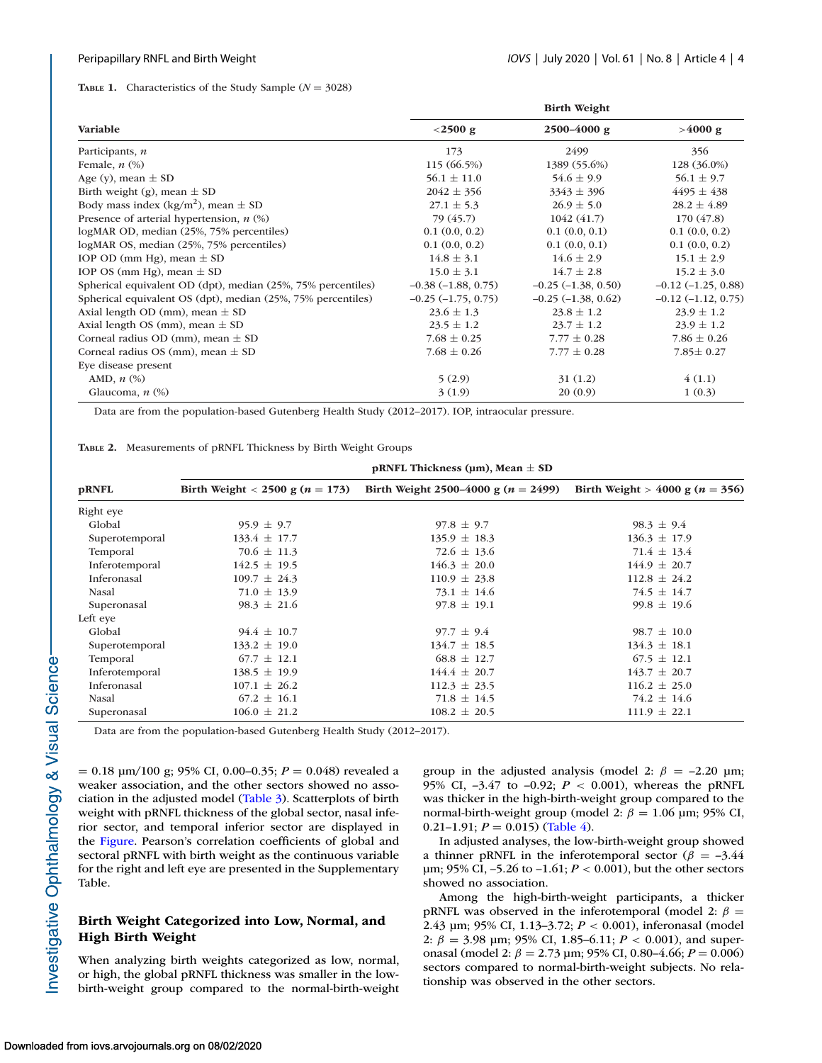#### <span id="page-3-0"></span>**TABLE 1.** Characteristics of the Study Sample ( $N = 3028$ )

|                                                              | <b>Birth Weight</b>     |                         |                         |  |  |
|--------------------------------------------------------------|-------------------------|-------------------------|-------------------------|--|--|
| Variable                                                     | $<$ 2500 g              | 2500-4000 g             | >4000 g                 |  |  |
| Participants, n                                              | 173                     | 2499                    | 356                     |  |  |
| Female, $n$ $(\%)$                                           | 115 (66.5%)             | 1389 (55.6%)            | 128 (36.0%)             |  |  |
| Age (y), mean $\pm$ SD                                       | $56.1 \pm 11.0$         | $54.6 \pm 9.9$          | $56.1 \pm 9.7$          |  |  |
| Birth weight (g), mean $\pm$ SD                              | $2042 \pm 356$          | $3343 \pm 396$          | $4495 \pm 438$          |  |  |
| Body mass index (kg/m <sup>2</sup> ), mean $\pm$ SD          | $27.1 \pm 5.3$          | $26.9 \pm 5.0$          | $28.2 \pm 4.89$         |  |  |
| Presence of arterial hypertension, $n$ (%)                   | 79 (45.7)               | 1042(41.7)              | 170(47.8)               |  |  |
| logMAR OD, median (25%, 75% percentiles)                     | 0.1(0.0, 0.2)           | 0.1(0.0, 0.1)           | 0.1(0.0, 0.2)           |  |  |
| logMAR OS, median (25%, 75% percentiles)                     | 0.1(0.0, 0.2)           | 0.1(0.0, 0.1)           | 0.1(0.0, 0.2)           |  |  |
| IOP OD (mm Hg), mean $\pm$ SD                                | $14.8 \pm 3.1$          | $14.6 \pm 2.9$          | $15.1 \pm 2.9$          |  |  |
| IOP OS (mm Hg), mean $\pm$ SD                                | $15.0 \pm 3.1$          | $14.7 \pm 2.8$          | $15.2 \pm 3.0$          |  |  |
| Spherical equivalent OD (dpt), median (25%, 75% percentiles) | $-0.38(-1.88, 0.75)$    | $-0.25$ $(-1.38, 0.50)$ | $-0.12$ $(-1.25, 0.88)$ |  |  |
| Spherical equivalent OS (dpt), median (25%, 75% percentiles) | $-0.25$ $(-1.75, 0.75)$ | $-0.25$ $(-1.38, 0.62)$ | $-0.12$ $(-1.12, 0.75)$ |  |  |
| Axial length OD (mm), mean $\pm$ SD                          | $23.6 \pm 1.3$          | $23.8 \pm 1.2$          | $23.9 \pm 1.2$          |  |  |
| Axial length OS (mm), mean $\pm$ SD                          | $23.5 \pm 1.2$          | $23.7 \pm 1.2$          | $23.9 \pm 1.2$          |  |  |
| Corneal radius OD (mm), mean $\pm$ SD                        | $7.68 \pm 0.25$         | $7.77 \pm 0.28$         | $7.86 \pm 0.26$         |  |  |
| Corneal radius OS (mm), mean $\pm$ SD                        | $7.68 \pm 0.26$         | $7.77 \pm 0.28$         | $7.85 \pm 0.27$         |  |  |
| Eye disease present                                          |                         |                         |                         |  |  |
| AMD, $n$ $(\%)$                                              | 5(2.9)                  | 31(1.2)                 | 4(1.1)                  |  |  |
| Glaucoma, $n$ $(\%)$                                         | 3(1.9)                  | 20(0.9)                 | 1(0.3)                  |  |  |

Data are from the population-based Gutenberg Health Study (2012–2017). IOP, intraocular pressure.

|  | TABLE 2. Measurements of pRNFL Thickness by Birth Weight Groups |  |  |  |  |  |
|--|-----------------------------------------------------------------|--|--|--|--|--|
|--|-----------------------------------------------------------------|--|--|--|--|--|

|                | pRNFL Thickness ( $\mu$ m), Mean $\pm$ SD |                                       |                                     |  |  |  |
|----------------|-------------------------------------------|---------------------------------------|-------------------------------------|--|--|--|
| <b>pRNFL</b>   | Birth Weight < 2500 g $(n = 173)$         | Birth Weight 2500–4000 g $(n = 2499)$ | Birth Weight > 4000 g ( $n = 356$ ) |  |  |  |
| Right eye      |                                           |                                       |                                     |  |  |  |
| Global         | $95.9 \pm 9.7$                            | $97.8 \pm 9.7$                        | $98.3 \pm 9.4$                      |  |  |  |
| Superotemporal | $133.4 \pm 17.7$                          | $135.9 \pm 18.3$                      | $136.3 \pm 17.9$                    |  |  |  |
| Temporal       | $70.6 \pm 11.3$                           | $72.6 \pm 13.6$                       | $71.4 \pm 13.4$                     |  |  |  |
| Inferotemporal | $142.5 \pm 19.5$                          | $146.3 \pm 20.0$                      | $144.9 \pm 20.7$                    |  |  |  |
| Inferonasal    | $109.7 \pm 24.3$                          | $110.9 \pm 23.8$                      | $112.8 \pm 24.2$                    |  |  |  |
| Nasal          | $71.0 \pm 13.9$                           | $73.1 \pm 14.6$                       | $74.5 \pm 14.7$                     |  |  |  |
| Superonasal    | $98.3 \pm 21.6$                           | $97.8 \pm 19.1$                       | $99.8 \pm 19.6$                     |  |  |  |
| Left eye       |                                           |                                       |                                     |  |  |  |
| Global         | $94.4 \pm 10.7$                           | $97.7 \pm 9.4$                        | $98.7 \pm 10.0$                     |  |  |  |
| Superotemporal | $133.2 \pm 19.0$                          | $134.7 \pm 18.5$                      | $134.3 \pm 18.1$                    |  |  |  |
| Temporal       | $67.7 \pm 12.1$                           | $68.8 \pm 12.7$                       | $67.5 \pm 12.1$                     |  |  |  |
| Inferotemporal | $138.5 \pm 19.9$                          | $144.4 \pm 20.7$                      | $143.7 \pm 20.7$                    |  |  |  |
| Inferonasal    | $107.1 \pm 26.2$                          | $112.3 \pm 23.5$                      | $116.2 \pm 25.0$                    |  |  |  |
| Nasal          | $67.2 \pm 16.1$                           | $71.8 \pm 14.5$                       | $74.2 \pm 14.6$                     |  |  |  |
| Superonasal    | $106.0 \pm 21.2$                          | $108.2 \pm 20.5$                      | $111.9 \pm 22.1$                    |  |  |  |

Data are from the population-based Gutenberg Health Study (2012–2017).

= 0.18 μm/100 g; 95% CI, 0.00–0.35; *P* = 0.048) revealed a weaker association, and the other sectors showed no association in the adjusted model [\(Table 3\)](#page-4-0). Scatterplots of birth weight with pRNFL thickness of the global sector, nasal inferior sector, and temporal inferior sector are displayed in the [Figure.](#page-5-0) Pearson's correlation coefficients of global and sectoral pRNFL with birth weight as the continuous variable for the right and left eye are presented in the Supplementary Table.

# **Birth Weight Categorized into Low, Normal, and High Birth Weight**

When analyzing birth weights categorized as low, normal, or high, the global pRNFL thickness was smaller in the lowbirth-weight group compared to the normal-birth-weight group in the adjusted analysis (model 2:  $\beta = -2.20$  μm; 95% CI, –3.47 to –0.92; *P* < 0.001), whereas the pRNFL was thicker in the high-birth-weight group compared to the normal-birth-weight group (model 2:  $β = 1.06$  μm; 95% CI, 0.21-1.91;  $P = 0.015$ ) [\(Table 4\)](#page-4-0).

In adjusted analyses, the low-birth-weight group showed a thinner pRNFL in the inferotemporal sector ( $\beta$  = -3.44  $\mu$ m; 95% CI, -5.26 to -1.61; *P* < 0.001), but the other sectors showed no association.

Among the high-birth-weight participants, a thicker pRNFL was observed in the inferotemporal (model 2:  $\beta$  = 2.43 μm; 95% CI, 1.13–3.72; *P* < 0.001), inferonasal (model 2:  $\beta = 3.98$  μm; 95% CI, 1.85–6.11;  $P < 0.001$ ), and superonasal (model 2:  $\beta = 2.73$  μm; 95% CI, 0.80–4.66;  $P = 0.006$ ) sectors compared to normal-birth-weight subjects. No relationship was observed in the other sectors.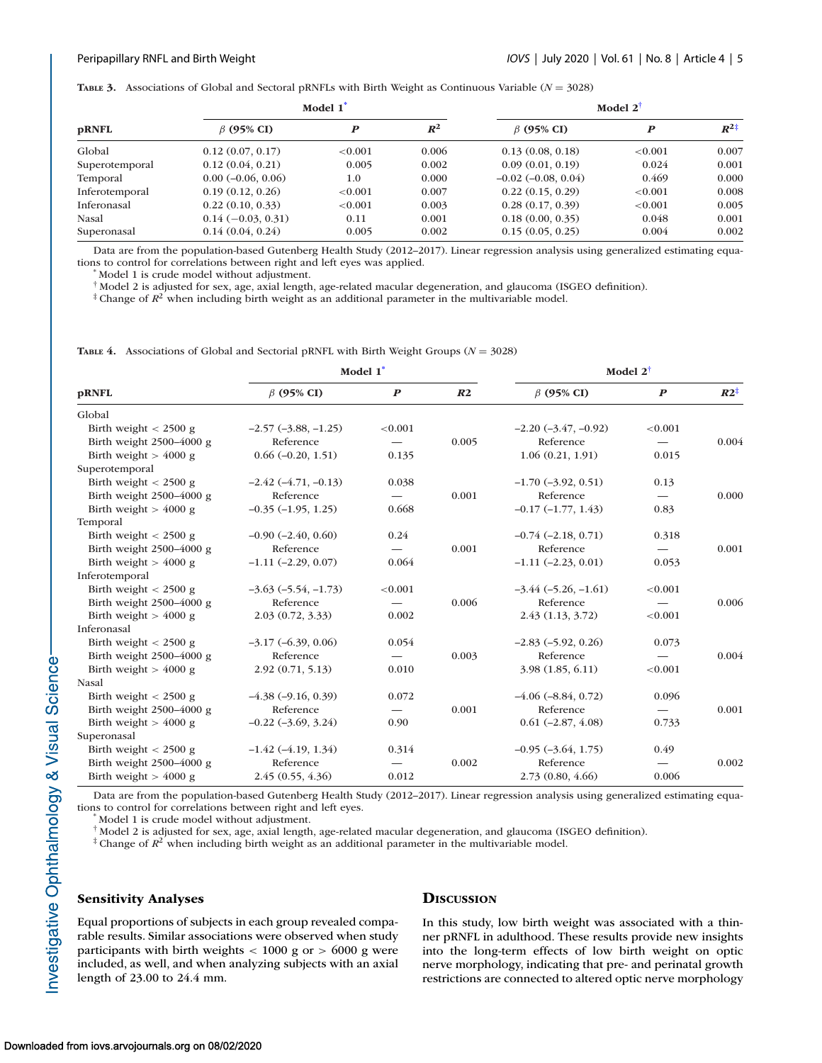<span id="page-4-0"></span>**TABLE 3.** Associations of Global and Sectoral pRNFLs with Birth Weight as Continuous Variable (*N* = 3028)

| <b>pRNFL</b>   | Model 1                     |            |       | Model 2 <sup>†</sup>    |                  |                 |  |
|----------------|-----------------------------|------------|-------|-------------------------|------------------|-----------------|--|
|                | $\beta$ (95% CI)            | P          | $R^2$ | $\beta$ (95% CI)        | $\boldsymbol{P}$ | $R^{2\ddagger}$ |  |
| Global         | 0.12(0.07, 0.17)            | < 0.001    | 0.006 | 0.13(0.08, 0.18)        | < 0.001          | 0.007           |  |
| Superotemporal | 0.12(0.04, 0.21)            | 0.005      | 0.002 | 0.09(0.01, 0.19)        | 0.024            | 0.001           |  |
| Temporal       | $0.00$ ( $-0.06$ , $0.06$ ) | $1.0\,$    | 0.000 | $-0.02$ $(-0.08, 0.04)$ | 0.469            | 0.000           |  |
| Inferotemporal | 0.19(0.12, 0.26)            | ${<}0.001$ | 0.007 | 0.22(0.15, 0.29)        | ${<}0.001$       | 0.008           |  |
| Inferonasal    | 0.22(0.10, 0.33)            | ${<}0.001$ | 0.003 | 0.28(0.17, 0.39)        | ${<}0.001$       | 0.005           |  |
| Nasal          | $0.14(-0.03, 0.31)$         | 0.11       | 0.001 | 0.18(0.00, 0.35)        | 0.048            | 0.001           |  |
| Superonasal    | 0.14(0.04, 0.24)            | 0.005      | 0.002 | 0.15(0.05, 0.25)        | 0.004            | 0.002           |  |

Data are from the population-based Gutenberg Health Study (2012–2017). Linear regression analysis using generalized estimating equations to control for correlations between right and left eyes was applied. \* Model 1 is crude model without adjustment.

† Model 2 is adjusted for sex, age, axial length, age-related macular degeneration, and glaucoma (ISGEO definition).

<sup>‡</sup> Change of  $R^2$  when including birth weight as an additional parameter in the multivariable model.

**TABLE 4.** Associations of Global and Sectorial pRNFL with Birth Weight Groups ( $N = 3028$ )

|                            | Model 1 <sup>*</sup>     |                          |                | Model $2^{\dagger}$      |                  |                 |
|----------------------------|--------------------------|--------------------------|----------------|--------------------------|------------------|-----------------|
| <b>pRNFL</b>               | $\beta$ (95% CI)         | $\boldsymbol{P}$         | R <sub>2</sub> | $\beta$ (95% CI)         | $\boldsymbol{P}$ | $R2^{\ddagger}$ |
| Global                     |                          |                          |                |                          |                  |                 |
| Birth weight $<$ 2500 g    | $-2.57$ $(-3.88, -1.25)$ | < 0.001                  |                | $-2.20$ $(-3.47, -0.92)$ | < 0.001          |                 |
| Birth weight 2500-4000 g   | Reference                |                          | 0.005          | Reference                |                  | 0.004           |
| Birth weight $>$ 4000 g    | $0.66(-0.20, 1.51)$      | 0.135                    |                | 1.06(0.21, 1.91)         | 0.015            |                 |
| Superotemporal             |                          |                          |                |                          |                  |                 |
| Birth weight $<$ 2500 g    | $-2.42(-4.71, -0.13)$    | 0.038                    |                | $-1.70$ $(-3.92, 0.51)$  | 0.13             |                 |
| Birth weight 2500-4000 g   | Reference                |                          | 0.001          | Reference                |                  | 0.000           |
| Birth weight $>$ 4000 g    | $-0.35$ $(-1.95, 1.25)$  | 0.668                    |                | $-0.17(-1.77, 1.43)$     | 0.83             |                 |
| Temporal                   |                          |                          |                |                          |                  |                 |
| Birth weight $<$ 2500 g    | $-0.90$ $(-2.40, 0.60)$  | 0.24                     |                | $-0.74$ $(-2.18, 0.71)$  | 0.318            |                 |
| Birth weight 2500-4000 g   | Reference                |                          | 0.001          | Reference                |                  | 0.001           |
| Birth weight $>$ 4000 g    | $-1.11$ $(-2.29, 0.07)$  | 0.064                    |                | $-1.11$ $(-2.23, 0.01)$  | 0.053            |                 |
| Inferotemporal             |                          |                          |                |                          |                  |                 |
| Birth weight $< 2500$ g    | $-3.63(-5.54, -1.73)$    | < 0.001                  |                | $-3.44 (-5.26, -1.61)$   | < 0.001          |                 |
| Birth weight 2500-4000 g   | Reference                |                          | 0.006          | Reference                |                  | 0.006           |
| Birth weight $>$ 4000 g    | 2.03(0.72, 3.33)         | 0.002                    |                | 2.43(1.13, 3.72)         | < 0.001          |                 |
| Inferonasal                |                          |                          |                |                          |                  |                 |
| Birth weight $< 2500$ g    | $-3.17(-6.39, 0.06)$     | 0.054                    |                | $-2.83(-5.92, 0.26)$     | 0.073            |                 |
| Birth weight 2500-4000 g   | Reference                | $\overline{\phantom{0}}$ | 0.003          | Reference                |                  | 0.004           |
| Birth weight $>$ 4000 g    | 2.92(0.71, 5.13)         | 0.010                    |                | 3.98(1.85, 6.11)         | < 0.001          |                 |
| Nasal                      |                          |                          |                |                          |                  |                 |
| Birth weight $<$ 2500 g    | $-4.38$ $(-9.16, 0.39)$  | 0.072                    |                | $-4.06$ $(-8.84, 0.72)$  | 0.096            |                 |
| Birth weight $2500-4000$ g | Reference                |                          | 0.001          | Reference                |                  | 0.001           |
| Birth weight $> 4000$ g    | $-0.22$ $(-3.69, 3.24)$  | 0.90                     |                | $0.61$ ( $-2.87, 4.08$ ) | 0.733            |                 |
| Superonasal                |                          |                          |                |                          |                  |                 |
| Birth weight $< 2500$ g    | $-1.42(-4.19, 1.34)$     | 0.314                    |                | $-0.95$ $(-3.64, 1.75)$  | 0.49             |                 |
| Birth weight 2500-4000 g   | Reference                |                          | 0.002          | Reference                |                  | 0.002           |
| Birth weight $>$ 4000 g    | 2.45(0.55, 4.36)         | 0.012                    |                | 2.73(0.80, 4.66)         | 0.006            |                 |

Data are from the population-based Gutenberg Health Study (2012–2017). Linear regression analysis using generalized estimating equations to control for correlations between right and left eyes. \* Model 1 is crude model without adjustment.

† Model 2 is adjusted for sex, age, axial length, age-related macular degeneration, and glaucoma (ISGEO definition).

<sup>‡</sup> Change of  $R^2$  when including birth weight as an additional parameter in the multivariable model.

# **Sensitivity Analyses**

Equal proportions of subjects in each group revealed comparable results. Similar associations were observed when study participants with birth weights < 1000 g or > 6000 g were included, as well, and when analyzing subjects with an axial length of 23.00 to 24.4 mm.

#### **DISCUSSION**

In this study, low birth weight was associated with a thinner pRNFL in adulthood. These results provide new insights into the long-term effects of low birth weight on optic nerve morphology, indicating that pre- and perinatal growth restrictions are connected to altered optic nerve morphology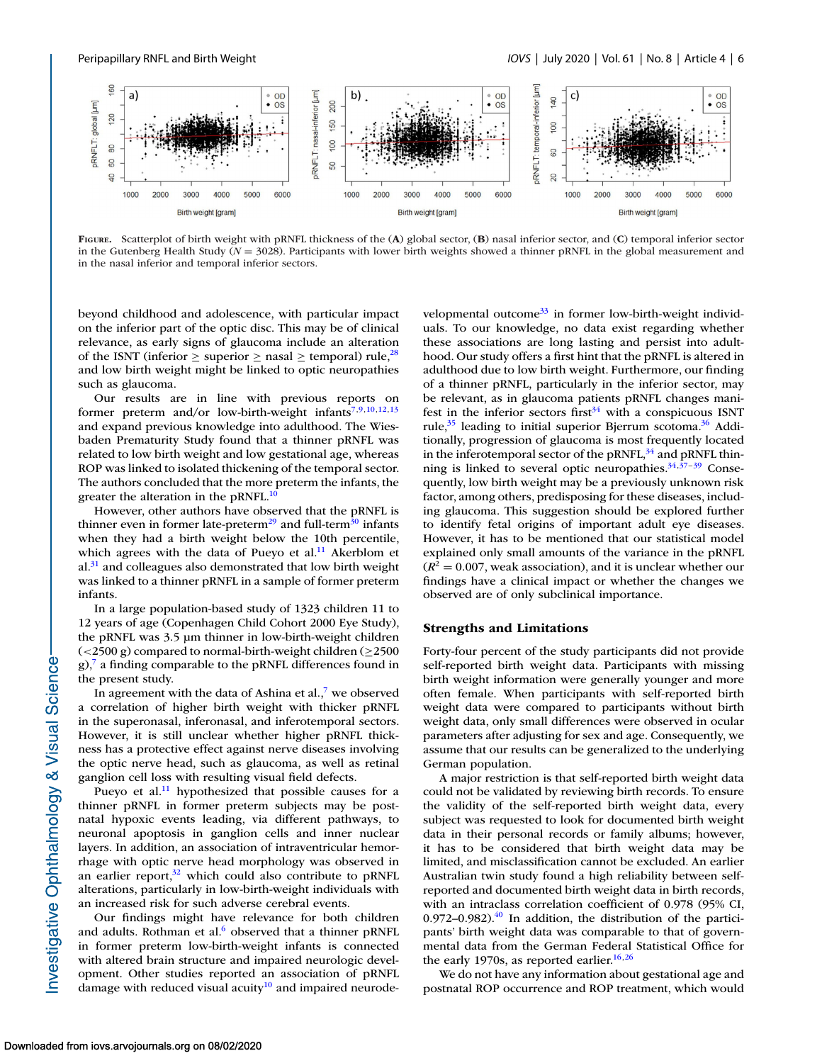<span id="page-5-0"></span>

**FIGURE.** Scatterplot of birth weight with pRNFL thickness of the (**A**) global sector, (**B**) nasal inferior sector, and (**C**) temporal inferior sector in the Gutenberg Health Study (*N* = 3028). Participants with lower birth weights showed a thinner pRNFL in the global measurement and in the nasal inferior and temporal inferior sectors.

beyond childhood and adolescence, with particular impact on the inferior part of the optic disc. This may be of clinical relevance, as early signs of glaucoma include an alteration of the ISNT (inferior  $\geq$  superior  $\geq$  nasal  $\geq$  temporal) rule,<sup>28</sup> and low birth weight might be linked to optic neuropathies such as glaucoma.

Our results are in line with previous reports on former preterm and/or low-birth-weight infants<sup>7,9,10,[12,13](#page-7-0)</sup> and expand previous knowledge into adulthood. The Wiesbaden Prematurity Study found that a thinner pRNFL was related to low birth weight and low gestational age, whereas ROP was linked to isolated thickening of the temporal sector. The authors concluded that the more preterm the infants, the greater the alteration in the pRNFL. $^{10}$ 

However, other authors have observed that the pRNFL is thinner even in former late-preterm<sup>29</sup> and full-term<sup>30</sup> infants when they had a birth weight below the 10th percentile, which agrees with the data of Pueyo et al.<sup>11</sup> Akerblom et  $al.<sup>31</sup>$  and colleagues also demonstrated that low birth weight was linked to a thinner pRNFL in a sample of former preterm infants.

In a large population-based study of 1323 children 11 to 12 years of age (Copenhagen Child Cohort 2000 Eye Study), the pRNFL was 3.5 μm thinner in low-birth-weight children  $\left($  <2500 g) compared to normal-birth-weight children ( $\geq$ 2500  $g$ ),<sup>7</sup> a finding comparable to the pRNFL differences found in the present study.

In agreement with the data of Ashina et al., $\overline{7}$  we observed a correlation of higher birth weight with thicker pRNFL in the superonasal, inferonasal, and inferotemporal sectors. However, it is still unclear whether higher pRNFL thickness has a protective effect against nerve diseases involving the optic nerve head, such as glaucoma, as well as retinal ganglion cell loss with resulting visual field defects.

Pueyo et al.<sup>11</sup> hypothesized that possible causes for a thinner pRNFL in former preterm subjects may be postnatal hypoxic events leading, via different pathways, to neuronal apoptosis in ganglion cells and inner nuclear layers. In addition, an association of intraventricular hemorrhage with optic nerve head morphology was observed in an earlier report, $32$  which could also contribute to pRNFL alterations, particularly in low-birth-weight individuals with an increased risk for such adverse cerebral events.

Our findings might have relevance for both children and adults. Rothman et al. $6$  observed that a thinner pRNFL in former preterm low-birth-weight infants is connected with altered brain structure and impaired neurologic development. Other studies reported an association of pRNFL damage with reduced visual acuity<sup>10</sup> and impaired neurodevelopmental outcome $33$  in former low-birth-weight individuals. To our knowledge, no data exist regarding whether these associations are long lasting and persist into adulthood. Our study offers a first hint that the pRNFL is altered in adulthood due to low birth weight. Furthermore, our finding of a thinner pRNFL, particularly in the inferior sector, may be relevant, as in glaucoma patients pRNFL changes manifest in the inferior sectors first<sup> $34$ </sup> with a conspicuous ISNT rule, $35$  leading to initial superior Bjerrum scotoma. $36$  Additionally, progression of glaucoma is most frequently located in the inferotemporal sector of the pRNFL, $34$  and pRNFL thinning is linked to several optic neuropathies.  $34,37-39$  Consequently, low birth weight may be a previously unknown risk factor, among others, predisposing for these diseases, including glaucoma. This suggestion should be explored further to identify fetal origins of important adult eye diseases. However, it has to be mentioned that our statistical model explained only small amounts of the variance in the pRNFL  $(R^2 = 0.007$ , weak association), and it is unclear whether our findings have a clinical impact or whether the changes we observed are of only subclinical importance.

#### **Strengths and Limitations**

Forty-four percent of the study participants did not provide self-reported birth weight data. Participants with missing birth weight information were generally younger and more often female. When participants with self-reported birth weight data were compared to participants without birth weight data, only small differences were observed in ocular parameters after adjusting for sex and age. Consequently, we assume that our results can be generalized to the underlying German population.

A major restriction is that self-reported birth weight data could not be validated by reviewing birth records. To ensure the validity of the self-reported birth weight data, every subject was requested to look for documented birth weight data in their personal records or family albums; however, it has to be considered that birth weight data may be limited, and misclassification cannot be excluded. An earlier Australian twin study found a high reliability between selfreported and documented birth weight data in birth records, with an intraclass correlation coefficient of 0.978 (95% CI, 0.972–0.982). $^{40}$  In addition, the distribution of the participants' birth weight data was comparable to that of governmental data from the German Federal Statistical Office for the early 1970s, as reported earlier.<sup>16,26</sup>

We do not have any information about gestational age and postnatal ROP occurrence and ROP treatment, which would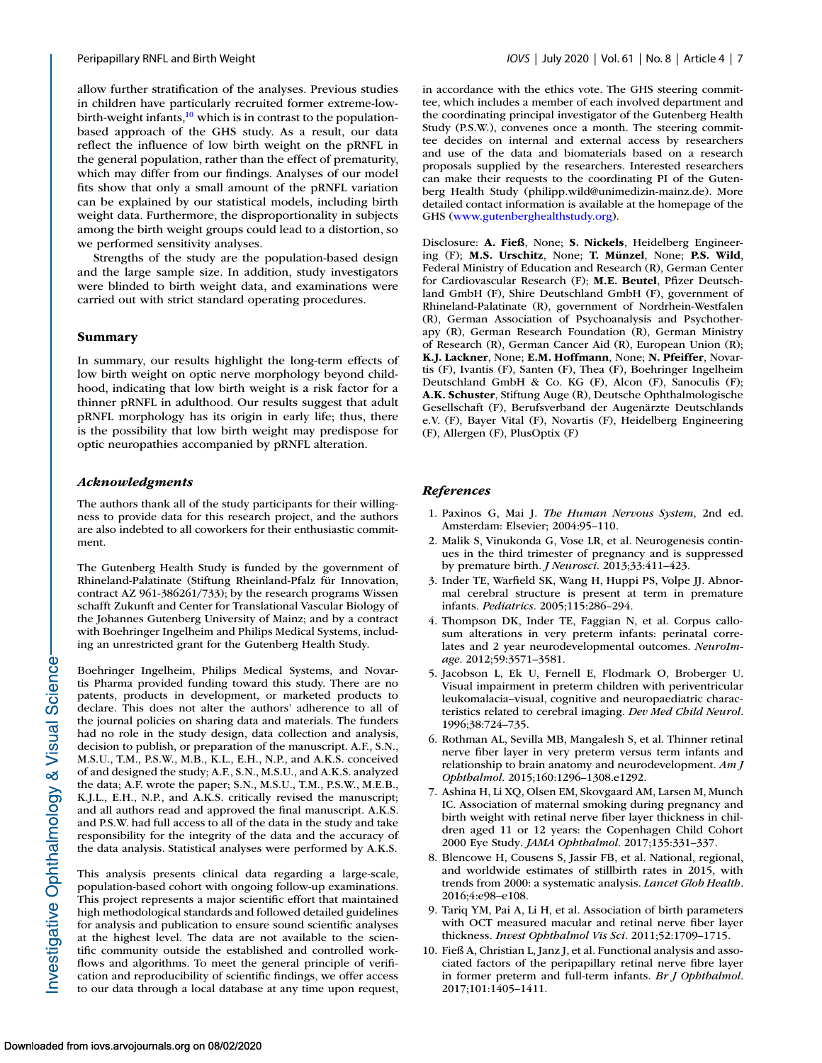<span id="page-6-0"></span>allow further stratification of the analyses. Previous studies in children have particularly recruited former extreme-lowbirth-weight infants,<sup>10</sup> which is in contrast to the populationbased approach of the GHS study. As a result, our data reflect the influence of low birth weight on the pRNFL in the general population, rather than the effect of prematurity, which may differ from our findings. Analyses of our model fits show that only a small amount of the pRNFL variation can be explained by our statistical models, including birth weight data. Furthermore, the disproportionality in subjects among the birth weight groups could lead to a distortion, so we performed sensitivity analyses.

Strengths of the study are the population-based design and the large sample size. In addition, study investigators were blinded to birth weight data, and examinations were carried out with strict standard operating procedures.

# **Summary**

In summary, our results highlight the long-term effects of low birth weight on optic nerve morphology beyond childhood, indicating that low birth weight is a risk factor for a thinner pRNFL in adulthood. Our results suggest that adult pRNFL morphology has its origin in early life; thus, there is the possibility that low birth weight may predispose for optic neuropathies accompanied by pRNFL alteration.

# *Acknowledgments*

The authors thank all of the study participants for their willingness to provide data for this research project, and the authors are also indebted to all coworkers for their enthusiastic commitment.

The Gutenberg Health Study is funded by the government of Rhineland-Palatinate (Stiftung Rheinland-Pfalz für Innovation, contract AZ 961-386261/733); by the research programs Wissen schafft Zukunft and Center for Translational Vascular Biology of the Johannes Gutenberg University of Mainz; and by a contract with Boehringer Ingelheim and Philips Medical Systems, including an unrestricted grant for the Gutenberg Health Study.

Boehringer Ingelheim, Philips Medical Systems, and Novartis Pharma provided funding toward this study. There are no patents, products in development, or marketed products to declare. This does not alter the authors' adherence to all of the journal policies on sharing data and materials. The funders had no role in the study design, data collection and analysis, decision to publish, or preparation of the manuscript. A.F., S.N., M.S.U., T.M., P.S.W., M.B., K.L., E.H., N.P., and A.K.S. conceived of and designed the study; A.F., S.N., M.S.U., and A.K.S. analyzed the data; A.F. wrote the paper; S.N., M.S.U., T.M., P.S.W., M.E.B., K.J.L., E.H., N.P., and A.K.S. critically revised the manuscript; and all authors read and approved the final manuscript. A.K.S. and P.S.W. had full access to all of the data in the study and take responsibility for the integrity of the data and the accuracy of the data analysis. Statistical analyses were performed by A.K.S.

This analysis presents clinical data regarding a large-scale, population-based cohort with ongoing follow-up examinations. This project represents a major scientific effort that maintained high methodological standards and followed detailed guidelines for analysis and publication to ensure sound scientific analyses at the highest level. The data are not available to the scientific community outside the established and controlled workflows and algorithms. To meet the general principle of verification and reproducibility of scientific findings, we offer access to our data through a local database at any time upon request, in accordance with the ethics vote. The GHS steering committee, which includes a member of each involved department and the coordinating principal investigator of the Gutenberg Health Study (P.S.W.), convenes once a month. The steering committee decides on internal and external access by researchers and use of the data and biomaterials based on a research proposals supplied by the researchers. Interested researchers can make their requests to the coordinating PI of the Gutenberg Health Study (philipp.wild@unimedizin-mainz.de). More detailed contact information is available at the homepage of the GHS [\(www.gutenberghealthstudy.org\)](http://www.gutenberghealthstudy.org).

Disclosure: **A. Fieß**, None; **S. Nickels**, Heidelberg Engineering (F); **M.S. Urschitz**, None; **T. Münzel**, None; **P.S. Wild**, Federal Ministry of Education and Research (R), German Center for Cardiovascular Research (F); **M.E. Beutel**, Pfizer Deutschland GmbH (F), Shire Deutschland GmbH (F), government of Rhineland-Palatinate (R), government of Nordrhein-Westfalen (R), German Association of Psychoanalysis and Psychotherapy (R), German Research Foundation (R), German Ministry of Research (R), German Cancer Aid (R), European Union (R); **K.J. Lackner**, None; **E.M. Hoffmann**, None; **N. Pfeiffer**, Novartis (F), Ivantis (F), Santen (F), Thea (F), Boehringer Ingelheim Deutschland GmbH & Co. KG (F), Alcon (F), Sanoculis (F); **A.K. Schuster**, Stiftung Auge (R), Deutsche Ophthalmologische Gesellschaft (F), Berufsverband der Augenärzte Deutschlands e.V. (F), Bayer Vital (F), Novartis (F), Heidelberg Engineering (F), Allergen (F), PlusOptix (F)

# *References*

- 1. Paxinos G, Mai J. *The Human Nervous System*, 2nd ed. Amsterdam: Elsevier; 2004:95–110.
- 2. Malik S, Vinukonda G, Vose LR, et al. Neurogenesis continues in the third trimester of pregnancy and is suppressed by premature birth. *J Neurosci*. 2013;33:411–423.
- 3. Inder TE, Warfield SK, Wang H, Huppi PS, Volpe JJ. Abnormal cerebral structure is present at term in premature infants. *Pediatrics*. 2005;115:286–294.
- 4. Thompson DK, Inder TE, Faggian N, et al. Corpus callosum alterations in very preterm infants: perinatal correlates and 2 year neurodevelopmental outcomes. *NeuroImage*. 2012;59:3571–3581.
- 5. Jacobson L, Ek U, Fernell E, Flodmark O, Broberger U. Visual impairment in preterm children with periventricular leukomalacia–visual, cognitive and neuropaediatric characteristics related to cerebral imaging. *Dev Med Child Neurol*. 1996;38:724–735.
- 6. Rothman AL, Sevilla MB, Mangalesh S, et al. Thinner retinal nerve fiber layer in very preterm versus term infants and relationship to brain anatomy and neurodevelopment. *Am J Ophthalmol*. 2015;160:1296–1308.e1292.
- 7. Ashina H, Li XQ, Olsen EM, Skovgaard AM, Larsen M, Munch IC. Association of maternal smoking during pregnancy and birth weight with retinal nerve fiber layer thickness in children aged 11 or 12 years: the Copenhagen Child Cohort 2000 Eye Study. *JAMA Ophthalmol*. 2017;135:331–337.
- 8. Blencowe H, Cousens S, Jassir FB, et al. National, regional, and worldwide estimates of stillbirth rates in 2015, with trends from 2000: a systematic analysis. *Lancet Glob Health*. 2016;4:e98–e108.
- 9. Tariq YM, Pai A, Li H, et al. Association of birth parameters with OCT measured macular and retinal nerve fiber layer thickness. *Invest Ophthalmol Vis Sci*. 2011;52:1709–1715.
- 10. Fieß A, Christian L, Janz J, et al. Functional analysis and associated factors of the peripapillary retinal nerve fibre layer in former preterm and full-term infants. *Br J Ophthalmol*. 2017;101:1405–1411.